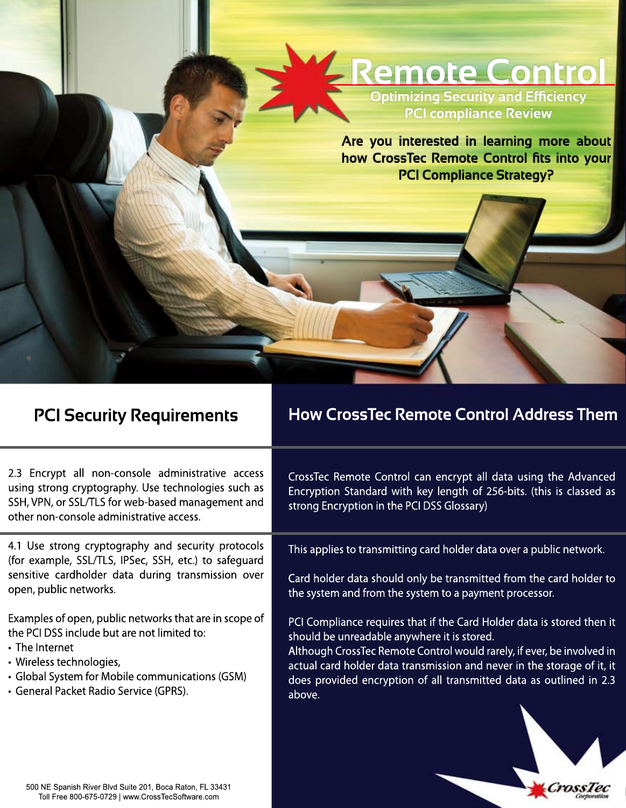

Are you interested in learning more about how CrossTec Remote Control fits into your **PCI Compliance Strategy?** 

## **PCI Security Requirements**

## **How CrossTec Remote Control Address Them**

2.3 Encrypt all non-console administrative access using strong cryptography. Use technologies such as SSH, VPN, or SSL/TLS for web-based management and other non-console administrative access.

4.1 Use strong cryptography and security protocols (for example, SSL/TLS, IPSec, SSH, etc.) to safequard sensitive cardholder data during transmission over open, public networks.

Examples of open, public networks that are in scope of the PCI DSS include but are not limited to:

- The Internet
- · Wireless technologies.
- Global System for Mobile communications (GSM)
- · General Packet Radio Service (GPRS).

CrossTec Remote Control can encrypt all data using the Advanced Encryption Standard with key length of 256-bits. (this is classed as strong Encryption in the PCI DSS Glossary)

This applies to transmitting card holder data over a public network.

Card holder data should only be transmitted from the card holder to the system and from the system to a payment processor.

PCI Compliance requires that if the Card Holder data is stored then it should be unreadable anywhere it is stored.

Although CrossTec Remote Control would rarely, if ever, be involved in actual card holder data transmission and never in the storage of it, it does provided encryption of all transmitted data as outlined in 2.3 above.



500 NE Spanish River Blvd Suite 201, Boca Raton, FL 33431 Toll Free 800-675-0729 | www.CrossTecSoftware.com